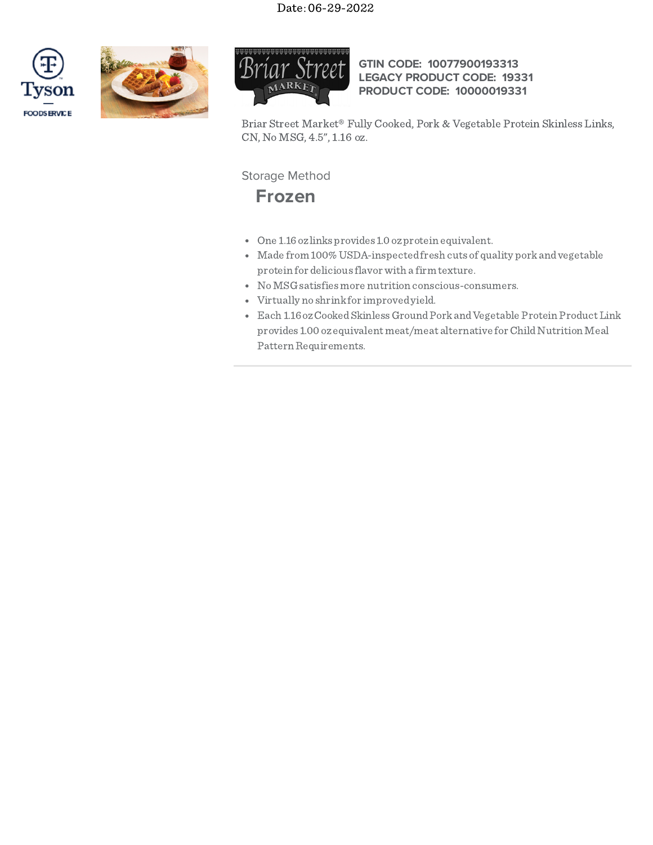## Date: 06-29-2022







## **GTIN CODE: 10077900193313 LEGACY PRODUCT CODE: 19331 PRODUCT CODE: 10000019331**

Briar Street Market® Fully Cooked, Pork & Vegetable Protein Skinless Links, CN, No MSG, 4.5", 1.16 oz.

Storage Method

**Frozen**

- One 1.16oz links provides 1.0 ozprotein equivalent.
- Made from 100%USDA-inspectedfresh cuts of quality porkandvegetable protein for delicious flavor with a firm texture.
- NoMSG satisfiesmore nutrition conscious-consumers.
- Virtually no shrinkfor improvedyield.
- Each 1.16 oz Cooked Skinless Ground Pork and Vegetable Protein Product Link provides 1.00 oz equivalent meat/meat alternative for Child Nutrition Meal Pattern Requirements.